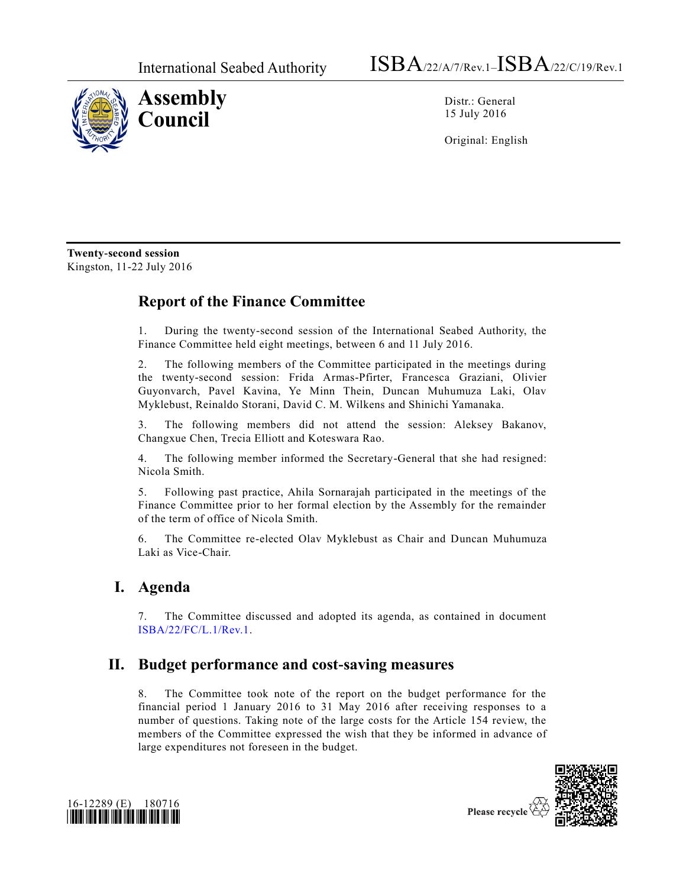

Distr.: General 15 July 2016

Original: English

**Twenty-second session**  Kingston, 11-22 July 2016

## **Report of the Finance Committee**

1. During the twenty-second session of the International Seabed Authority, the Finance Committee held eight meetings, between 6 and 11 July 2016.

2. The following members of the Committee participated in the meetings during the twenty-second session: Frida Armas-Pfirter, Francesca Graziani, Olivier Guyonvarch, Pavel Kavina, Ye Minn Thein, Duncan Muhumuza Laki, Olav Myklebust, Reinaldo Storani, David C. M. Wilkens and Shinichi Yamanaka.

3. The following members did not attend the session: Aleksey Bakanov, Changxue Chen, Trecia Elliott and Koteswara Rao.

4. The following member informed the Secretary-General that she had resigned: Nicola Smith.

5. Following past practice, Ahila Sornarajah participated in the meetings of the Finance Committee prior to her formal election by the Assembly for the remainder of the term of office of Nicola Smith.

6. The Committee re-elected Olav Myklebust as Chair and Duncan Muhumuza Laki as Vice-Chair.

### **I. Agenda**

7. The Committee discussed and adopted its agenda, as contained in document [ISBA/22/FC/L.1/Rev.1.](http://undocs.org/ISBA/22/FC/L.1/Rev.1)

## **II. Budget performance and cost-saving measures**

8. The Committee took note of the report on the budget performance for the financial period 1 January 2016 to 31 May 2016 after receiving responses to a number of questions. Taking note of the large costs for the Article 154 review, the members of the Committee expressed the wish that they be informed in advance of large expenditures not foreseen in the budget.



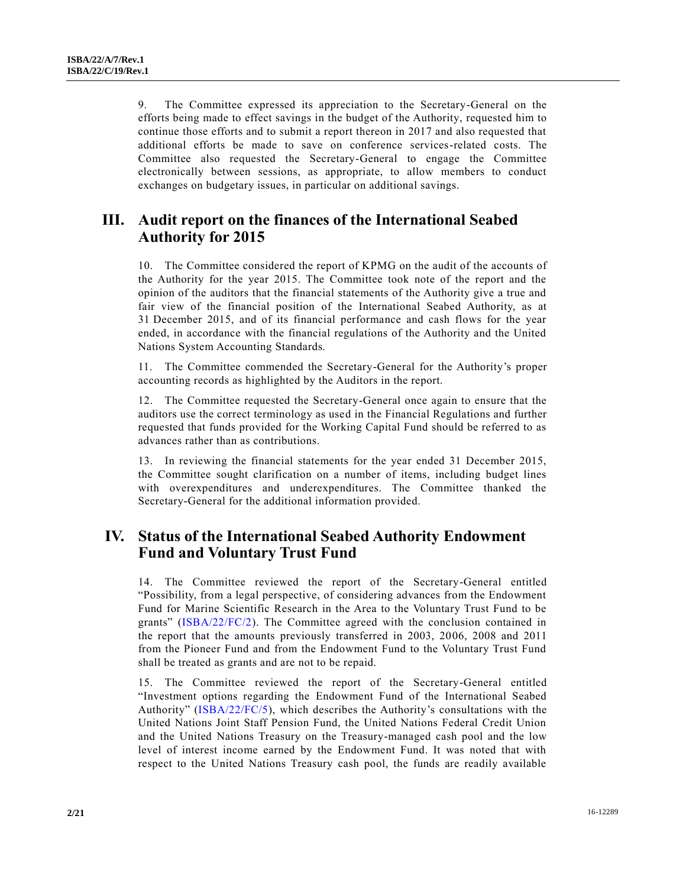9. The Committee expressed its appreciation to the Secretary-General on the efforts being made to effect savings in the budget of the Authority, requested him to continue those efforts and to submit a report thereon in 2017 and also requested that additional efforts be made to save on conference services-related costs. The Committee also requested the Secretary-General to engage the Committee electronically between sessions, as appropriate, to allow members to conduct exchanges on budgetary issues, in particular on additional savings.

### **III. Audit report on the finances of the International Seabed Authority for 2015**

10. The Committee considered the report of KPMG on the audit of the accounts of the Authority for the year 2015. The Committee took note of the report and the opinion of the auditors that the financial statements of the Authority give a true and fair view of the financial position of the International Seabed Authority, as at 31 December 2015, and of its financial performance and cash flows for the year ended, in accordance with the financial regulations of the Authority and the United Nations System Accounting Standards.

11. The Committee commended the Secretary-General for the Authority's proper accounting records as highlighted by the Auditors in the report.

12. The Committee requested the Secretary-General once again to ensure that the auditors use the correct terminology as used in the Financial Regulations and further requested that funds provided for the Working Capital Fund should be referred to as advances rather than as contributions.

13. In reviewing the financial statements for the year ended 31 December 2015, the Committee sought clarification on a number of items, including budget lines with overexpenditures and underexpenditures. The Committee thanked the Secretary-General for the additional information provided.

### **IV. Status of the International Seabed Authority Endowment Fund and Voluntary Trust Fund**

14. The Committee reviewed the report of the Secretary-General entitled "Possibility, from a legal perspective, of considering advances from the Endowment Fund for Marine Scientific Research in the Area to the Voluntary Trust Fund to be grants" [\(ISBA/22/FC/2\)](http://undocs.org/ISBA/22/FC/2). The Committee agreed with the conclusion contained in the report that the amounts previously transferred in 2003, 2006, 2008 and 2011 from the Pioneer Fund and from the Endowment Fund to the Voluntary Trust Fund shall be treated as grants and are not to be repaid.

15. The Committee reviewed the report of the Secretary-General entitled "Investment options regarding the Endowment Fund of the International Seabed Authority" [\(ISBA/22/FC/5\)](http://undocs.org/ISBA/22/FC/5), which describes the Authority's consultations with the United Nations Joint Staff Pension Fund, the United Nations Federal Credit Union and the United Nations Treasury on the Treasury-managed cash pool and the low level of interest income earned by the Endowment Fund. It was noted that with respect to the United Nations Treasury cash pool, the funds are readily available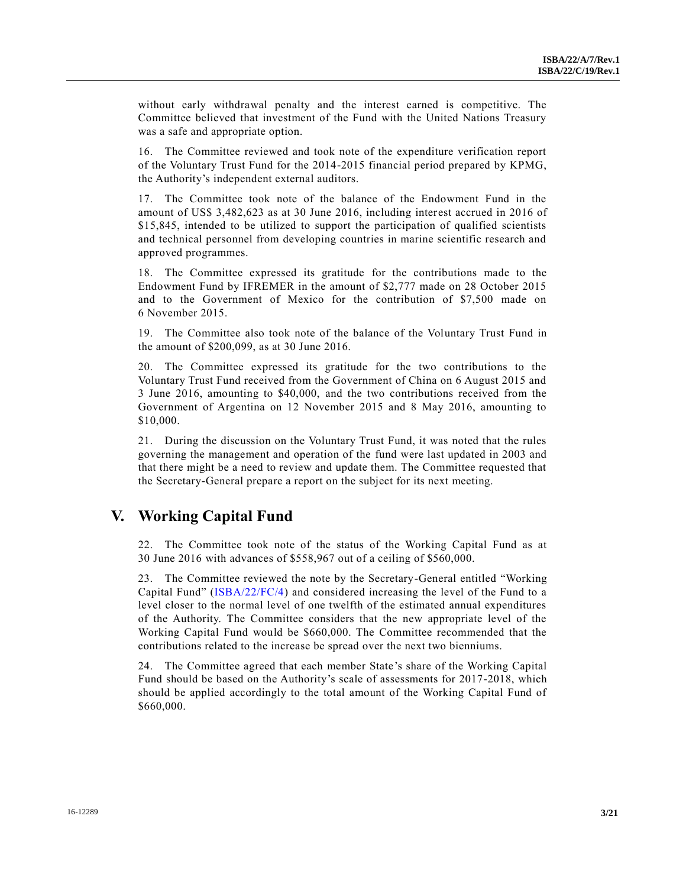without early withdrawal penalty and the interest earned is competitive. The Committee believed that investment of the Fund with the United Nations Treasury was a safe and appropriate option.

16. The Committee reviewed and took note of the expenditure verification report of the Voluntary Trust Fund for the 2014-2015 financial period prepared by KPMG, the Authority's independent external auditors.

17. The Committee took note of the balance of the Endowment Fund in the amount of US\$ 3,482,623 as at 30 June 2016, including interest accrued in 2016 of \$15,845, intended to be utilized to support the participation of qualified scientists and technical personnel from developing countries in marine scientific research and approved programmes.

18. The Committee expressed its gratitude for the contributions made to the Endowment Fund by IFREMER in the amount of \$2,777 made on 28 October 2015 and to the Government of Mexico for the contribution of \$7,500 made on 6 November 2015.

19. The Committee also took note of the balance of the Voluntary Trust Fund in the amount of \$200,099, as at 30 June 2016.

20. The Committee expressed its gratitude for the two contributions to the Voluntary Trust Fund received from the Government of China on 6 August 2015 and 3 June 2016, amounting to \$40,000, and the two contributions received from the Government of Argentina on 12 November 2015 and 8 May 2016, amounting to \$10,000.

21. During the discussion on the Voluntary Trust Fund, it was noted that the rules governing the management and operation of the fund were last updated in 2003 and that there might be a need to review and update them. The Committee requested that the Secretary-General prepare a report on the subject for its next meeting.

### **V. Working Capital Fund**

22. The Committee took note of the status of the Working Capital Fund as at 30 June 2016 with advances of \$558,967 out of a ceiling of \$560,000.

23. The Committee reviewed the note by the Secretary-General entitled "Working Capital Fund" [\(ISBA/22/FC/4\)](http://undocs.org/ISBA/22/FC/4) and considered increasing the level of the Fund to a level closer to the normal level of one twelfth of the estimated annual expenditures of the Authority. The Committee considers that the new appropriate level of the Working Capital Fund would be \$660,000. The Committee recommended that the contributions related to the increase be spread over the next two bienniums.

24. The Committee agreed that each member State's share of the Working Capital Fund should be based on the Authority's scale of assessments for 2017-2018, which should be applied accordingly to the total amount of the Working Capital Fund of \$660,000.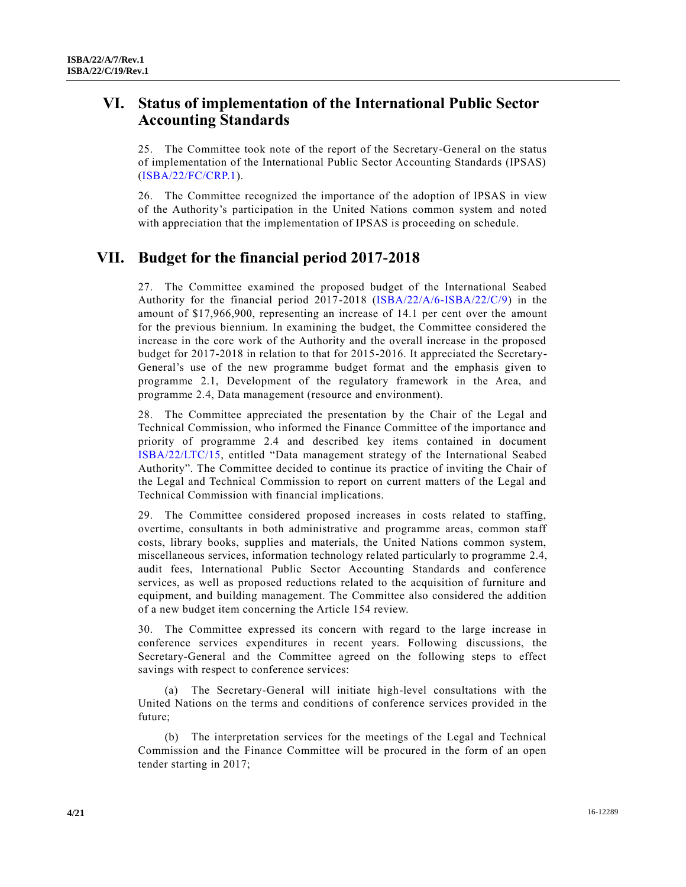## **VI. Status of implementation of the International Public Sector Accounting Standards**

25. The Committee took note of the report of the Secretary-General on the status of implementation of the International Public Sector Accounting Standards (IPSAS) [\(ISBA/22/FC/CRP.1\)](http://undocs.org/ISBA/22/FC/CRP.1).

26. The Committee recognized the importance of the adoption of IPSAS in view of the Authority's participation in the United Nations common system and noted with appreciation that the implementation of IPSAS is proceeding on schedule.

## **VII. Budget for the financial period 2017-2018**

27. The Committee examined the proposed budget of the International Seabed Authority for the financial period 2017-2018 [\(ISBA/22/A/6-ISBA/22/C/9\)](http://undocs.org/ISBA/22/A/6) in the amount of \$17,966,900, representing an increase of 14.1 per cent over the amount for the previous biennium. In examining the budget, the Committee considered the increase in the core work of the Authority and the overall increase in the proposed budget for 2017-2018 in relation to that for 2015-2016. It appreciated the Secretary-General's use of the new programme budget format and the emphasis given to programme 2.1, Development of the regulatory framework in the Area, and programme 2.4, Data management (resource and environment).

28. The Committee appreciated the presentation by the Chair of the Legal and Technical Commission, who informed the Finance Committee of the importance and priority of programme 2.4 and described key items contained in document [ISBA/22/LTC/15,](http://undocs.org/ISBA/22/LTC/15) entitled "Data management strategy of the International Seabed Authority". The Committee decided to continue its practice of inviting the Chair of the Legal and Technical Commission to report on current matters of the Legal and Technical Commission with financial implications.

29. The Committee considered proposed increases in costs related to staffing, overtime, consultants in both administrative and programme areas, common staff costs, library books, supplies and materials, the United Nations common system, miscellaneous services, information technology related particularly to programme 2.4, audit fees, International Public Sector Accounting Standards and conference services, as well as proposed reductions related to the acquisition of furniture and equipment, and building management. The Committee also considered the addition of a new budget item concerning the Article 154 review.

30. The Committee expressed its concern with regard to the large increase in conference services expenditures in recent years. Following discussions, the Secretary-General and the Committee agreed on the following steps to effect savings with respect to conference services:

(a) The Secretary-General will initiate high-level consultations with the United Nations on the terms and conditions of conference services provided in the future;

(b) The interpretation services for the meetings of the Legal and Technical Commission and the Finance Committee will be procured in the form of an open tender starting in 2017;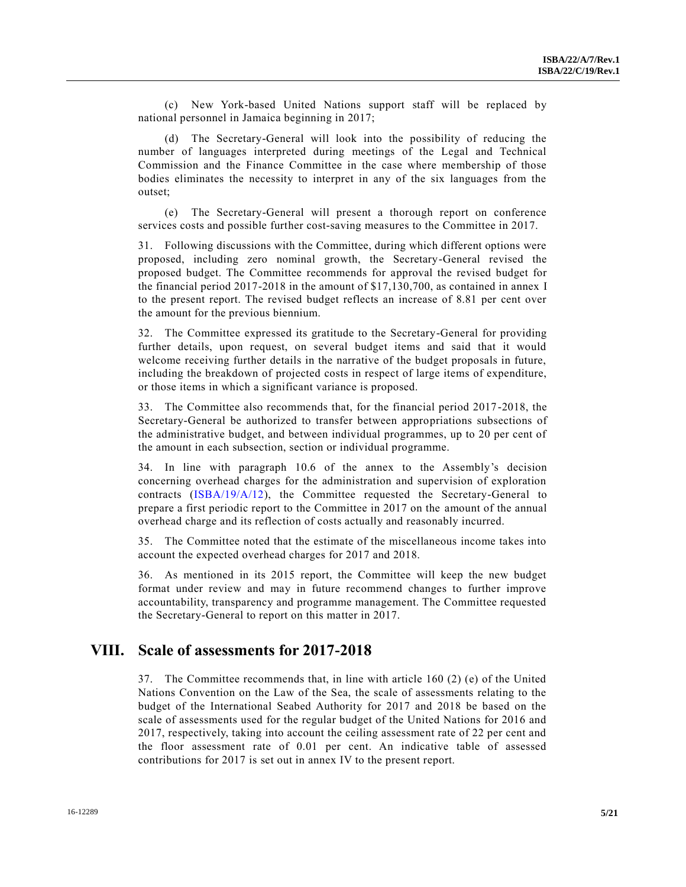(c) New York-based United Nations support staff will be replaced by national personnel in Jamaica beginning in 2017;

(d) The Secretary-General will look into the possibility of reducing the number of languages interpreted during meetings of the Legal and Technical Commission and the Finance Committee in the case where membership of those bodies eliminates the necessity to interpret in any of the six languages from the outset;

(e) The Secretary-General will present a thorough report on conference services costs and possible further cost-saving measures to the Committee in 2017.

31. Following discussions with the Committee, during which different options were proposed, including zero nominal growth, the Secretary-General revised the proposed budget. The Committee recommends for approval the revised budget for the financial period 2017-2018 in the amount of \$17,130,700, as contained in annex I to the present report. The revised budget reflects an increase of 8.81 per cent over the amount for the previous biennium.

32. The Committee expressed its gratitude to the Secretary-General for providing further details, upon request, on several budget items and said that it would welcome receiving further details in the narrative of the budget proposals in future, including the breakdown of projected costs in respect of large items of expenditure, or those items in which a significant variance is proposed.

33. The Committee also recommends that, for the financial period 2017-2018, the Secretary-General be authorized to transfer between appropriations subsections of the administrative budget, and between individual programmes, up to 20 per cent of the amount in each subsection, section or individual programme.

34. In line with paragraph 10.6 of the annex to the Assembly's decision concerning overhead charges for the administration and supervision of exploration contracts [\(ISBA/19/A/12\)](http://undocs.org/ISBA/19/A/12), the Committee requested the Secretary-General to prepare a first periodic report to the Committee in 2017 on the amount of the annual overhead charge and its reflection of costs actually and reasonably incurred.

35. The Committee noted that the estimate of the miscellaneous income takes into account the expected overhead charges for 2017 and 2018.

36. As mentioned in its 2015 report, the Committee will keep the new budget format under review and may in future recommend changes to further improve accountability, transparency and programme management. The Committee requested the Secretary-General to report on this matter in 2017.

#### **VIII. Scale of assessments for 2017-2018**

37. The Committee recommends that, in line with article 160 (2) (e) of the United Nations Convention on the Law of the Sea, the scale of assessments relating to the budget of the International Seabed Authority for 2017 and 2018 be based on the scale of assessments used for the regular budget of the United Nations for 2016 and 2017, respectively, taking into account the ceiling assessment rate of 22 per cent and the floor assessment rate of 0.01 per cent. An indicative table of assessed contributions for 2017 is set out in annex IV to the present report.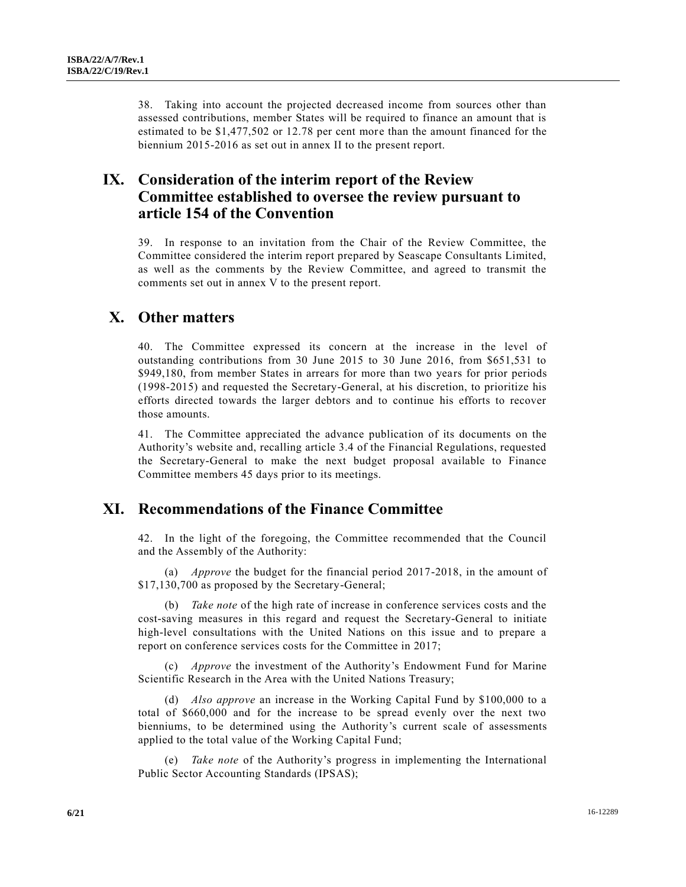38. Taking into account the projected decreased income from sources other than assessed contributions, member States will be required to finance an amount that is estimated to be \$1,477,502 or 12.78 per cent more than the amount financed for the biennium 2015-2016 as set out in annex II to the present report.

### **IX. Consideration of the interim report of the Review Committee established to oversee the review pursuant to article 154 of the Convention**

39. In response to an invitation from the Chair of the Review Committee, the Committee considered the interim report prepared by Seascape Consultants Limited, as well as the comments by the Review Committee, and agreed to transmit the comments set out in annex V to the present report.

#### **X. Other matters**

40. The Committee expressed its concern at the increase in the level of outstanding contributions from 30 June 2015 to 30 June 2016, from \$651,531 to \$949,180, from member States in arrears for more than two years for prior periods (1998-2015) and requested the Secretary-General, at his discretion, to prioritize his efforts directed towards the larger debtors and to continue his efforts to recover those amounts.

41. The Committee appreciated the advance publication of its documents on the Authority's website and, recalling article 3.4 of the Financial Regulations, requested the Secretary-General to make the next budget proposal available to Finance Committee members 45 days prior to its meetings.

### **XI. Recommendations of the Finance Committee**

42. In the light of the foregoing, the Committee recommended that the Council and the Assembly of the Authority:

(a) *Approve* the budget for the financial period 2017-2018, in the amount of \$17,130,700 as proposed by the Secretary-General;

(b) *Take note* of the high rate of increase in conference services costs and the cost-saving measures in this regard and request the Secretary-General to initiate high-level consultations with the United Nations on this issue and to prepare a report on conference services costs for the Committee in 2017;

(c) *Approve* the investment of the Authority's Endowment Fund for Marine Scientific Research in the Area with the United Nations Treasury;

(d) *Also approve* an increase in the Working Capital Fund by \$100,000 to a total of \$660,000 and for the increase to be spread evenly over the next two bienniums, to be determined using the Authority's current scale of assessments applied to the total value of the Working Capital Fund;

(e) *Take note* of the Authority's progress in implementing the International Public Sector Accounting Standards (IPSAS);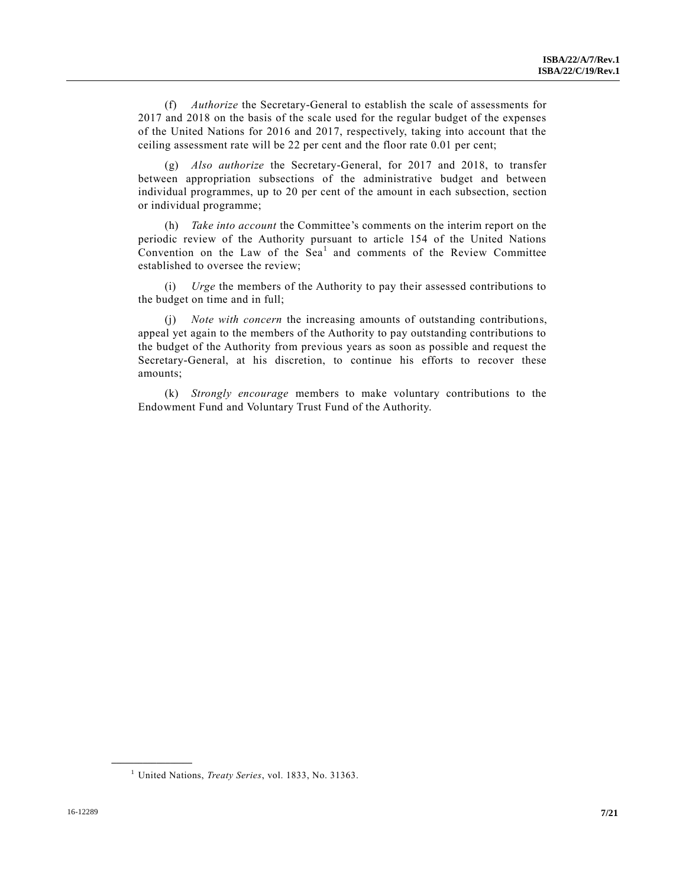(f) *Authorize* the Secretary-General to establish the scale of assessments for 2017 and 2018 on the basis of the scale used for the regular budget of the expenses of the United Nations for 2016 and 2017, respectively, taking into account that the ceiling assessment rate will be 22 per cent and the floor rate 0.01 per cent;

(g) *Also authorize* the Secretary-General, for 2017 and 2018, to transfer between appropriation subsections of the administrative budget and between individual programmes, up to 20 per cent of the amount in each subsection, section or individual programme;

(h) *Take into account* the Committee's comments on the interim report on the periodic review of the Authority pursuant to article 154 of the United Nations Convention on the Law of the  $\text{Sea}^1$  and comments of the Review Committee established to oversee the review;

(i) *Urge* the members of the Authority to pay their assessed contributions to the budget on time and in full;

(j) *Note with concern* the increasing amounts of outstanding contributions, appeal yet again to the members of the Authority to pay outstanding contributions to the budget of the Authority from previous years as soon as possible and request the Secretary-General, at his discretion, to continue his efforts to recover these amounts;

(k) *Strongly encourage* members to make voluntary contributions to the Endowment Fund and Voluntary Trust Fund of the Authority.

**\_\_\_\_\_\_\_\_\_\_\_\_\_\_\_\_\_\_**

<sup>1</sup> United Nations, *Treaty Series*, vol. 1833, No. 31363.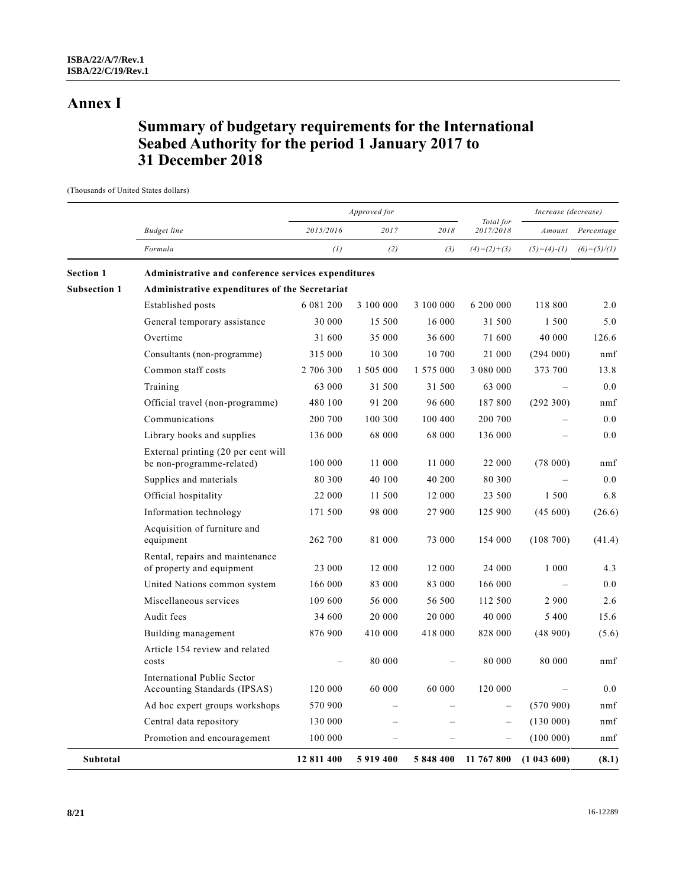## **Annex I**

## **Summary of budgetary requirements for the International Seabed Authority for the period 1 January 2017 to 31 December 2018**

(Thousands of United States dollars)

|                     |                                                                  |            | Approved for |           |                        |               | Increase (decrease) |  |
|---------------------|------------------------------------------------------------------|------------|--------------|-----------|------------------------|---------------|---------------------|--|
|                     | <b>Budget</b> line                                               | 2015/2016  | 2017         | 2018      | Total for<br>2017/2018 |               | Amount Percentage   |  |
|                     | Formula                                                          | (1)        | (2)          | (3)       | $(4)=(2)+(3)$          | $(5)=(4)-(1)$ | $(6)=(5)/(1)$       |  |
| <b>Section 1</b>    | Administrative and conference services expenditures              |            |              |           |                        |               |                     |  |
| <b>Subsection 1</b> | Administrative expenditures of the Secretariat                   |            |              |           |                        |               |                     |  |
|                     | Established posts                                                | 6 081 200  | 3 100 000    | 3 100 000 | 6 200 000              | 118 800       | 2.0                 |  |
|                     | General temporary assistance                                     | 30 000     | 15 500       | 16 000    | 31 500                 | 1 500         | 5.0                 |  |
|                     | Overtime                                                         | 31 600     | 35 000       | 36 600    | 71 600                 | 40 000        | 126.6               |  |
|                     | Consultants (non-programme)                                      | 315 000    | 10 300       | 10 700    | 21 000                 | (294000)      | nmf                 |  |
|                     | Common staff costs                                               | 2 706 300  | 1 505 000    | 1 575 000 | 3 080 000              | 373 700       | 13.8                |  |
|                     | Training                                                         | 63 000     | 31 500       | 31 500    | 63 000                 | $\equiv$      | 0.0                 |  |
|                     | Official travel (non-programme)                                  | 480 100    | 91 200       | 96 600    | 187 800                | (292 300)     | nmf                 |  |
|                     | Communications                                                   | 200 700    | 100 300      | 100 400   | 200 700                |               | 0.0                 |  |
|                     | Library books and supplies                                       | 136 000    | 68 000       | 68 000    | 136 000                |               | 0.0                 |  |
|                     | External printing (20 per cent will<br>be non-programme-related) | 100 000    | 11 000       | 11 000    | 22 000                 | (78000)       | nmf                 |  |
|                     | Supplies and materials                                           | 80 300     | 40 100       | 40 200    | 80 300                 |               | 0.0                 |  |
|                     | Official hospitality                                             | 22 000     | 11 500       | 12 000    | 23 500                 | 1 500         | 6.8                 |  |
|                     | Information technology                                           | 171 500    | 98 000       | 27 900    | 125 900                | (45, 600)     | (26.6)              |  |
|                     | Acquisition of furniture and<br>equipment                        | 262 700    | 81 000       | 73 000    | 154 000                | (108700)      | (41.4)              |  |
|                     | Rental, repairs and maintenance<br>of property and equipment     | 23 000     | 12 000       | 12 000    | 24 000                 | 1 000         | 4.3                 |  |
|                     | United Nations common system                                     | 166 000    | 83 000       | 83 000    | 166 000                |               | 0.0                 |  |
|                     | Miscellaneous services                                           | 109 600    | 56 000       | 56 500    | 112 500                | 2 900         | 2.6                 |  |
|                     | Audit fees                                                       | 34 600     | 20 000       | 20 000    | 40 000                 | 5 400         | 15.6                |  |
|                     | Building management                                              | 876 900    | 410 000      | 418 000   | 828 000                | (48900)       | (5.6)               |  |
|                     | Article 154 review and related<br>costs                          |            | 80 000       |           | 80 000                 | 80 000        | nmf                 |  |
|                     | International Public Sector<br>Accounting Standards (IPSAS)      | 120 000    | 60 000       | 60 000    | 120 000                |               | 0.0                 |  |
|                     | Ad hoc expert groups workshops                                   | 570 900    |              |           |                        | (570900)      | nmf                 |  |
|                     | Central data repository                                          | 130 000    |              |           |                        | (130000)      | nmf                 |  |
|                     | Promotion and encouragement                                      | 100 000    |              |           |                        | (100000)      | nmf                 |  |
| Subtotal            |                                                                  | 12 811 400 | 5919400      | 5848400   | 11 767 800             | (1043600)     | (8.1)               |  |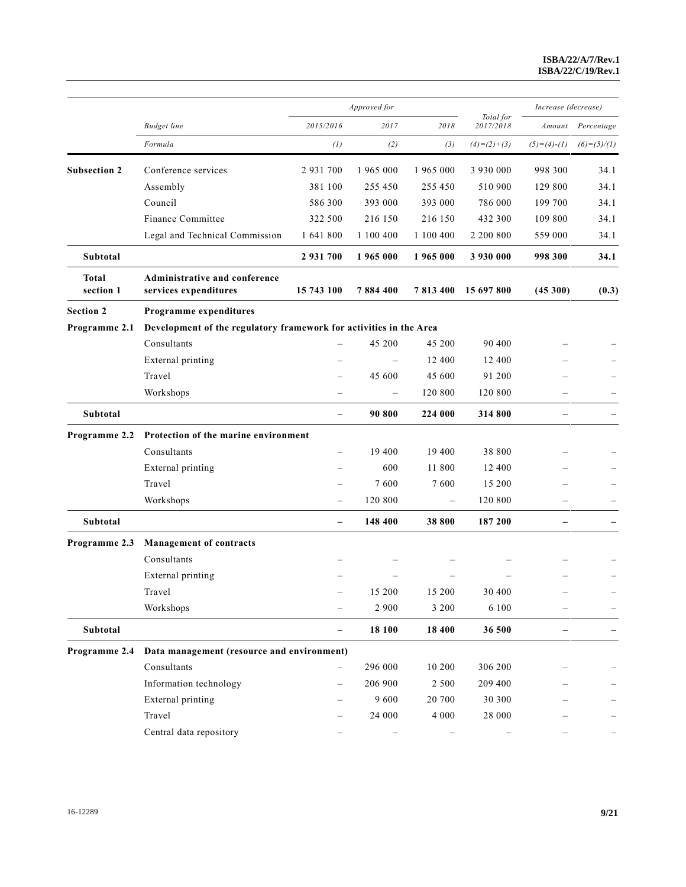|                           |                                                                    |                          | Approved for      |                          |                        | Increase (decrease)      |               |
|---------------------------|--------------------------------------------------------------------|--------------------------|-------------------|--------------------------|------------------------|--------------------------|---------------|
|                           | <b>Budget</b> line                                                 | 2015/2016                | 2017              | 2018                     | Total for<br>2017/2018 | Amount                   | Percentage    |
|                           | Formula                                                            | (1)                      | (2)               | (3)                      | $(4)=(2)+(3)$          | $(5)=(4)-(1)$            | $(6)=(5)/(1)$ |
| <b>Subsection 2</b>       | Conference services                                                | 2 9 3 1 7 0 0            | 1 965 000         | 1 965 000                | 3 930 000              | 998 300                  | 34.1          |
|                           | Assembly                                                           | 381 100                  | 255 450           | 255 450                  | 510 900                | 129 800                  | 34.1          |
|                           | Council                                                            | 586 300                  | 393 000           | 393 000                  | 786 000                | 199 700                  | 34.1          |
|                           | Finance Committee                                                  | 322 500                  | 216 150           | 216 150                  | 432 300                | 109 800                  | 34.1          |
|                           | Legal and Technical Commission                                     | 1 641 800                | 1 100 400         | 1 100 400                | 2 200 800              | 559 000                  | 34.1          |
| Subtotal                  |                                                                    | 2 931 700                | 1965 000          | 1965 000                 | 3 930 000              | 998 300                  | 34.1          |
| <b>Total</b><br>section 1 | Administrative and conference<br>services expenditures             | 15 743 100               | 7884400           | 7813400                  | 15 697 800             | (45300)                  | (0.3)         |
| <b>Section 2</b>          | Programme expenditures                                             |                          |                   |                          |                        |                          |               |
| Programme 2.1             | Development of the regulatory framework for activities in the Area |                          |                   |                          |                        |                          |               |
|                           | Consultants                                                        | $\overline{\phantom{0}}$ | 45 200            | 45 200                   | 90 400                 |                          |               |
|                           | External printing                                                  | $\overline{\phantom{0}}$ |                   | 12 400                   | 12 400                 |                          |               |
|                           | Travel                                                             |                          | 45 600            | 45 600                   | 91 200                 |                          |               |
|                           | Workshops                                                          | $\overline{\phantom{0}}$ | $\qquad \qquad -$ | 120 800                  | 120 800                |                          |               |
| <b>Subtotal</b>           |                                                                    | $\overline{\phantom{0}}$ | 90 800            | 224 000                  | 314 800                | $\overline{\phantom{0}}$ |               |
| Programme 2.2             | Protection of the marine environment                               |                          |                   |                          |                        |                          |               |
|                           | Consultants                                                        |                          | 19 400            | 19 400                   | 38 800                 |                          |               |
|                           | External printing                                                  |                          | 600               | 11 800                   | 12 400                 |                          |               |
|                           | Travel                                                             |                          | 7600              | 7600                     | 15 200                 |                          |               |
|                           | Workshops                                                          |                          | 120 800           | $\overline{\phantom{m}}$ | 120 800                | $\equiv$                 |               |
| Subtotal                  |                                                                    | $\overline{\phantom{m}}$ | 148 400           | 38 800                   | 187 200                | $\qquad \qquad -$        |               |
| Programme 2.3             | <b>Management of contracts</b>                                     |                          |                   |                          |                        |                          |               |
|                           | Consultants                                                        |                          |                   |                          |                        |                          |               |
|                           | External printing                                                  |                          |                   |                          |                        |                          |               |
|                           | Travel                                                             |                          | 15 200            | 15 200                   | 30 400                 |                          |               |
|                           | Workshops                                                          |                          | 2 9 0 0           | 3 2 0 0                  | 6 100                  |                          |               |
| Subtotal                  |                                                                    |                          | 18 100            | 18 400                   | 36 500                 |                          |               |
| Programme 2.4             | Data management (resource and environment)                         |                          |                   |                          |                        |                          |               |
|                           | Consultants                                                        |                          | 296 000           | 10 200                   | 306 200                |                          |               |
|                           | Information technology                                             |                          | 206 900           | 2 5 0 0                  | 209 400                |                          |               |
|                           | External printing                                                  |                          | 9600              | 20 700                   | 30 300                 |                          |               |
|                           | Travel                                                             |                          | 24 000            | 4 0 0 0                  | 28 000                 |                          |               |
|                           | Central data repository                                            |                          |                   |                          |                        |                          |               |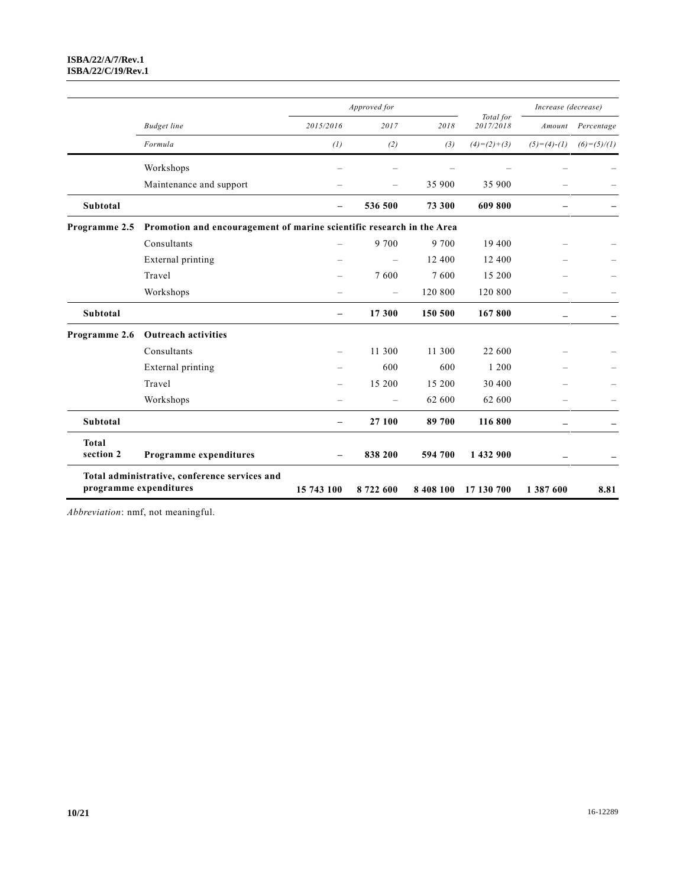|                           |                                                                       |                          | Approved for             |           |                        | Increase (decrease)      |                   |  |
|---------------------------|-----------------------------------------------------------------------|--------------------------|--------------------------|-----------|------------------------|--------------------------|-------------------|--|
|                           | <b>Budget</b> line                                                    | 2015/2016                | 2017                     | 2018      | Total for<br>2017/2018 |                          | Amount Percentage |  |
|                           | Formula                                                               | (1)                      | (2)                      | (3)       | $(4)=(2)+(3)$          | $(5)=(4)-(1)$            | $(6)=(5)/(1)$     |  |
|                           | Workshops                                                             |                          |                          |           |                        |                          |                   |  |
|                           | Maintenance and support                                               |                          |                          | 35 900    | 35 900                 |                          |                   |  |
| <b>Subtotal</b>           |                                                                       |                          | 536 500                  | 73 300    | 609 800                |                          |                   |  |
| Programme 2.5             | Promotion and encouragement of marine scientific research in the Area |                          |                          |           |                        |                          |                   |  |
|                           | Consultants                                                           | $\overline{\phantom{0}}$ | 9 700                    | 9 700     | 19 400                 |                          |                   |  |
|                           | External printing                                                     |                          | $\equiv$                 | 12 400    | 12 400                 |                          |                   |  |
|                           | Travel                                                                |                          | 7600                     | 7600      | 15 200                 |                          |                   |  |
|                           | Workshops                                                             |                          | $\equiv$                 | 120 800   | 120 800                | $\equiv$                 |                   |  |
| <b>Subtotal</b>           |                                                                       | $\overline{\phantom{0}}$ | 17 300                   | 150 500   | 167800                 |                          |                   |  |
| Programme 2.6             | <b>Outreach activities</b>                                            |                          |                          |           |                        |                          |                   |  |
|                           | Consultants                                                           |                          | 11 300                   | 11 300    | 22 600                 |                          |                   |  |
|                           | External printing                                                     |                          | 600                      | 600       | 1 200                  |                          |                   |  |
|                           | Travel                                                                |                          | 15 200                   | 15 200    | 30 400                 |                          |                   |  |
|                           | Workshops                                                             |                          | $\overline{\phantom{0}}$ | 62 600    | 62 600                 | $\overline{\phantom{0}}$ |                   |  |
| <b>Subtotal</b>           |                                                                       | $\overline{\phantom{0}}$ | 27 100                   | 89 700    | 116800                 | $\qquad \qquad -$        |                   |  |
| <b>Total</b><br>section 2 | Programme expenditures                                                |                          | 838 200                  | 594 700   | 1 432 900              |                          |                   |  |
| programme expenditures    | Total administrative, conference services and                         | 15 743 100               | 8722600                  | 8 408 100 | 17 130 700             | 1 387 600                | 8.81              |  |

*Abbreviation*: nmf, not meaningful.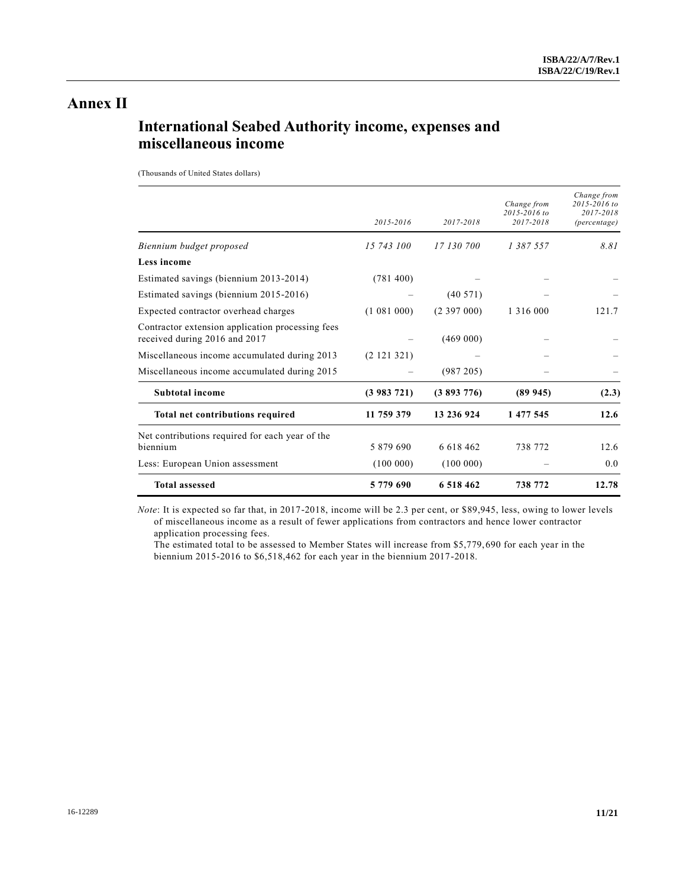## **Annex II**

## **International Seabed Authority income, expenses and miscellaneous income**

(Thousands of United States dollars)

|                                                                                   | 2015-2016   | 2017-2018     | Change from<br>$2015 - 2016$ to<br>2017-2018 | Change from<br>2015-2016 to<br>2017-2018<br><i>(percentage)</i> |
|-----------------------------------------------------------------------------------|-------------|---------------|----------------------------------------------|-----------------------------------------------------------------|
| Biennium budget proposed                                                          | 15 743 100  | 17 130 700    | 1 387 557                                    | 8.81                                                            |
| Less income                                                                       |             |               |                                              |                                                                 |
| Estimated savings (biennium 2013-2014)                                            | (781 400)   |               |                                              |                                                                 |
| Estimated savings (biennium 2015-2016)                                            |             | (40571)       |                                              |                                                                 |
| Expected contractor overhead charges                                              | (1 081 000) | (2, 397, 000) | 1 3 1 6 0 0 0                                | 12.1.7                                                          |
| Contractor extension application processing fees<br>received during 2016 and 2017 |             | (469 000)     |                                              |                                                                 |
| Miscellaneous income accumulated during 2013                                      | (2 121 321) |               |                                              |                                                                 |
| Miscellaneous income accumulated during 2015                                      |             | (987 205)     |                                              |                                                                 |
| <b>Subtotal income</b>                                                            | (3983721)   | (3893776)     | (89945)                                      | (2.3)                                                           |
| <b>Total net contributions required</b>                                           | 11 759 379  | 13 236 924    | 1 477 545                                    | 12.6                                                            |
| Net contributions required for each year of the<br>biennium                       | 5 879 690   | 6 618 462     | 738 772                                      | 12.6                                                            |
| Less: European Union assessment                                                   | (100000)    | (100000)      |                                              | 0.0                                                             |
| <b>Total assessed</b>                                                             | 5779690     | 6 518 462     | 738 772                                      | 12.78                                                           |

*Note*: It is expected so far that, in 2017-2018, income will be 2.3 per cent, or \$89,945, less, owing to lower levels of miscellaneous income as a result of fewer applications from contractors and hence lower contractor application processing fees.

The estimated total to be assessed to Member States will increase from \$5,779,690 for each year in the biennium 2015-2016 to \$6,518,462 for each year in the biennium 2017-2018.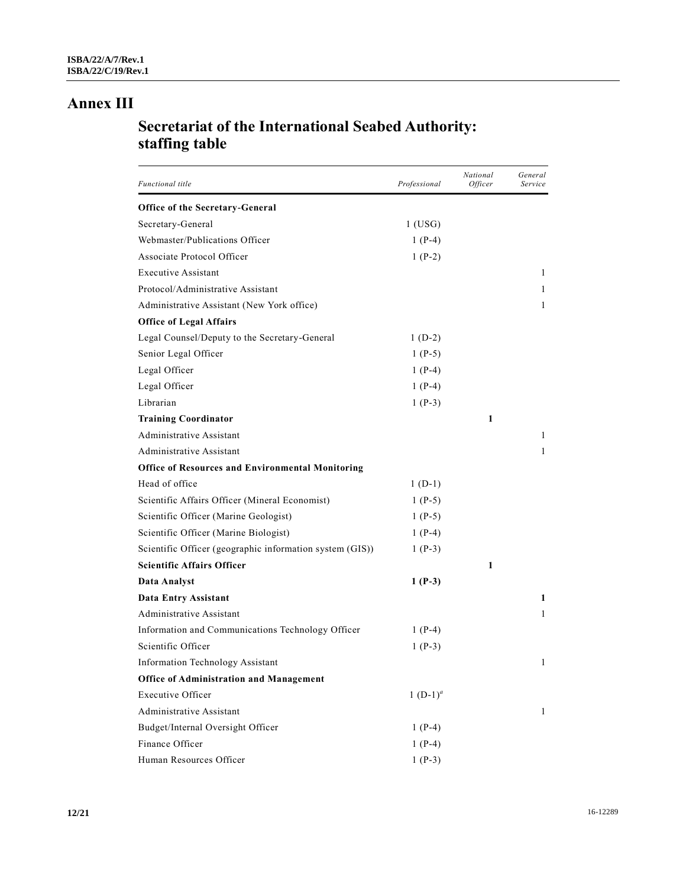## **Annex III**

## **Secretariat of the International Seabed Authority: staffing table**

| Functional title                                         | Professional | National<br>Officer | General<br>Service |
|----------------------------------------------------------|--------------|---------------------|--------------------|
| <b>Office of the Secretary-General</b>                   |              |                     |                    |
| Secretary-General                                        | $1$ (USG)    |                     |                    |
| Webmaster/Publications Officer                           | 1 $(P-4)$    |                     |                    |
| <b>Associate Protocol Officer</b>                        | $1(P-2)$     |                     |                    |
| <b>Executive Assistant</b>                               |              |                     | 1                  |
| Protocol/Administrative Assistant                        |              |                     | 1                  |
| Administrative Assistant (New York office)               |              |                     | 1                  |
| <b>Office of Legal Affairs</b>                           |              |                     |                    |
| Legal Counsel/Deputy to the Secretary-General            | $1(D-2)$     |                     |                    |
| Senior Legal Officer                                     | 1 $(P-5)$    |                     |                    |
| Legal Officer                                            | $1(P-4)$     |                     |                    |
| Legal Officer                                            | $1(P-4)$     |                     |                    |
| Librarian                                                | 1 $(P-3)$    |                     |                    |
| <b>Training Coordinator</b>                              |              | 1                   |                    |
| Administrative Assistant                                 |              |                     | 1                  |
| <b>Administrative Assistant</b>                          |              |                     | 1                  |
| <b>Office of Resources and Environmental Monitoring</b>  |              |                     |                    |
| Head of office                                           | $1(D-1)$     |                     |                    |
| Scientific Affairs Officer (Mineral Economist)           | 1 $(P-5)$    |                     |                    |
| Scientific Officer (Marine Geologist)                    | 1 $(P-5)$    |                     |                    |
| Scientific Officer (Marine Biologist)                    | 1 $(P-4)$    |                     |                    |
| Scientific Officer (geographic information system (GIS)) | 1 $(P-3)$    |                     |                    |
| Scientific Affairs Officer                               |              | 1                   |                    |
| Data Analyst                                             | $1(P-3)$     |                     |                    |
| Data Entry Assistant                                     |              |                     | 1                  |
| Administrative Assistant                                 |              |                     | 1                  |
| Information and Communications Technology Officer        | 1 $(P-4)$    |                     |                    |
| Scientific Officer                                       | 1 $(P-3)$    |                     |                    |
| <b>Information Technology Assistant</b>                  |              |                     | 1                  |
| <b>Office of Administration and Management</b>           |              |                     |                    |
| <b>Executive Officer</b>                                 | 1 $(D-1)^a$  |                     |                    |
| Administrative Assistant                                 |              |                     | 1                  |
| Budget/Internal Oversight Officer                        | $1(P-4)$     |                     |                    |
| Finance Officer                                          | $1(P-4)$     |                     |                    |
| Human Resources Officer                                  | $1(P-3)$     |                     |                    |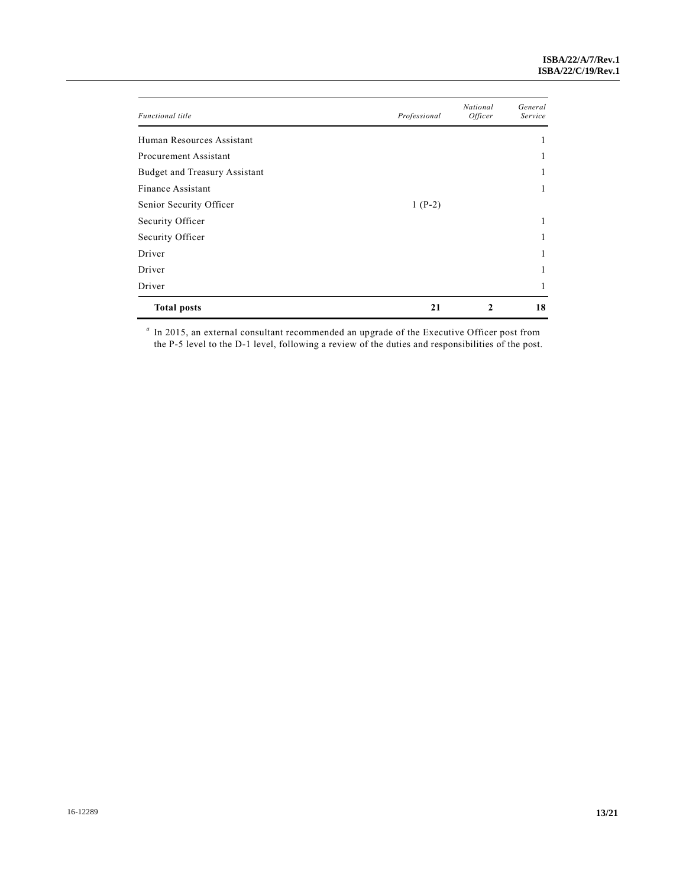| <b>Functional</b> title       | Professional | National<br><i>Officer</i> | General<br>Service |
|-------------------------------|--------------|----------------------------|--------------------|
| Human Resources Assistant     |              |                            | 1                  |
| Procurement Assistant         |              |                            | J.                 |
| Budget and Treasury Assistant |              |                            | 1                  |
| Finance Assistant             |              |                            | 1                  |
| Senior Security Officer       | $1(P-2)$     |                            |                    |
| Security Officer              |              |                            | л.                 |
| Security Officer              |              |                            | 1                  |
| Driver                        |              |                            | ı.                 |
| Driver                        |              |                            | ı.                 |
| Driver                        |              |                            | 1                  |
| <b>Total posts</b>            | 21           | 2                          | 18                 |

<sup>a</sup> In 2015, an external consultant recommended an upgrade of the Executive Officer post from the P-5 level to the D-1 level, following a review of the duties and responsibilities of the post.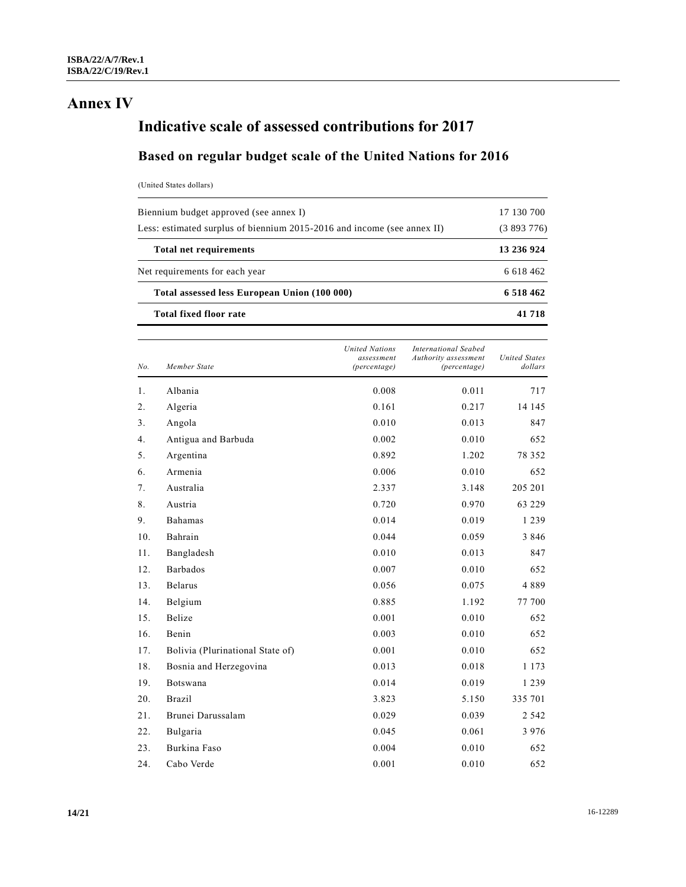## **Annex IV**

# **Indicative scale of assessed contributions for 2017**

## **Based on regular budget scale of the United Nations for 2016**

(United States dollars)

| 6 5 18 4 6 2 |
|--------------|
| 6 618 462    |
| 13 236 924   |
| (3893776)    |
| 17 130 700   |
|              |

| No. | Member State                     | <b>United Nations</b><br>assessment<br>(percentage) | <b>International Seabed</b><br>Authority assessment<br>(percentage) | <b>United States</b><br>dollars |
|-----|----------------------------------|-----------------------------------------------------|---------------------------------------------------------------------|---------------------------------|
| 1.  | Albania                          | 0.008                                               | 0.011                                                               | 717                             |
| 2.  | Algeria                          | 0.161                                               | 0.217                                                               | 14 145                          |
| 3.  | Angola                           | 0.010                                               | 0.013                                                               | 847                             |
| 4.  | Antigua and Barbuda              | 0.002                                               | 0.010                                                               | 652                             |
| 5.  | Argentina                        | 0.892                                               | 1.202                                                               | 78 352                          |
| 6.  | Armenia                          | 0.006                                               | 0.010                                                               | 652                             |
| 7.  | Australia                        | 2.337                                               | 3.148                                                               | 205 201                         |
| 8.  | Austria                          | 0.720                                               | 0.970                                                               | 63 229                          |
| 9.  | <b>Bahamas</b>                   | 0.014                                               | 0.019                                                               | 1 2 3 9                         |
| 10. | Bahrain                          | 0.044                                               | 0.059                                                               | 3 8 4 6                         |
| 11. | Bangladesh                       | 0.010                                               | 0.013                                                               | 847                             |
| 12. | <b>Barbados</b>                  | 0.007                                               | 0.010                                                               | 652                             |
| 13. | <b>Belarus</b>                   | 0.056                                               | 0.075                                                               | 4889                            |
| 14. | Belgium                          | 0.885                                               | 1.192                                                               | 77 700                          |
| 15. | <b>Belize</b>                    | 0.001                                               | 0.010                                                               | 652                             |
| 16. | Benin                            | 0.003                                               | 0.010                                                               | 652                             |
| 17. | Bolivia (Plurinational State of) | 0.001                                               | 0.010                                                               | 652                             |
| 18. | Bosnia and Herzegovina           | 0.013                                               | 0.018                                                               | 1 1 7 3                         |
| 19. | Botswana                         | 0.014                                               | 0.019                                                               | 1 2 3 9                         |
| 20. | <b>Brazil</b>                    | 3.823                                               | 5.150                                                               | 335 701                         |
| 21. | Brunei Darussalam                | 0.029                                               | 0.039                                                               | 2 5 4 2                         |
| 22. | Bulgaria                         | 0.045                                               | 0.061                                                               | 3 9 7 6                         |
| 23. | Burkina Faso                     | 0.004                                               | 0.010                                                               | 652                             |
| 24. | Cabo Verde                       | 0.001                                               | 0.010                                                               | 652                             |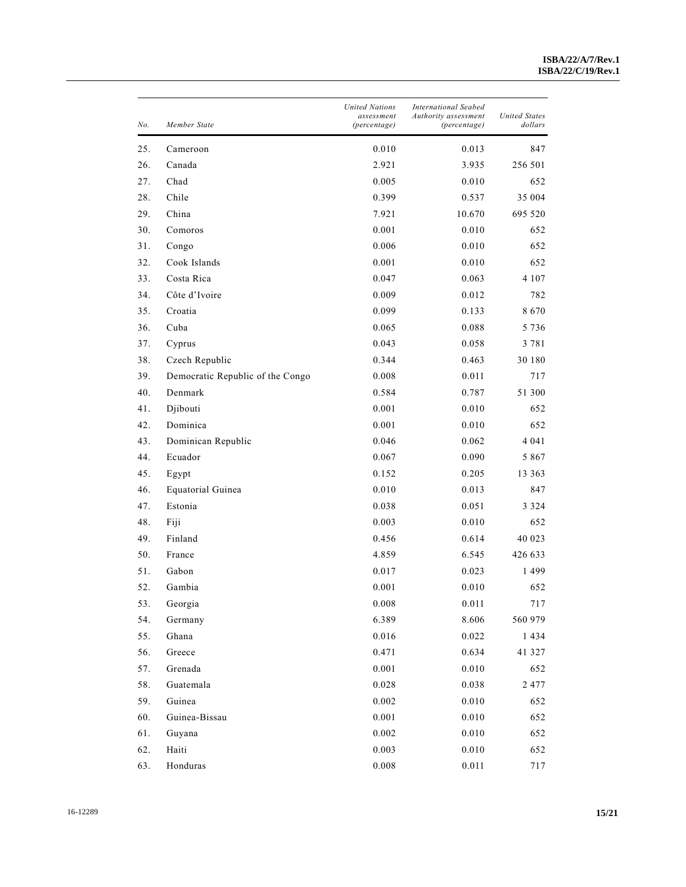| No. | Member State                     | <b>United Nations</b><br>assessment<br>(percentage) | <b>International Seabed</b><br>Authority assessment<br>(percentage) | <b>United States</b><br>dollars |
|-----|----------------------------------|-----------------------------------------------------|---------------------------------------------------------------------|---------------------------------|
| 25. | Cameroon                         | 0.010                                               | 0.013                                                               | 847                             |
| 26. | Canada                           | 2.921                                               | 3.935                                                               | 256 501                         |
| 27. | Chad                             | 0.005                                               | 0.010                                                               | 652                             |
| 28. | Chile                            | 0.399                                               | 0.537                                                               | 35 004                          |
| 29. | China                            | 7.921                                               | 10.670                                                              | 695 520                         |
| 30. | Comoros                          | 0.001                                               | 0.010                                                               | 652                             |
| 31. | Congo                            | 0.006                                               | 0.010                                                               | 652                             |
| 32. | Cook Islands                     | 0.001                                               | 0.010                                                               | 652                             |
| 33. | Costa Rica                       | 0.047                                               | 0.063                                                               | 4 1 0 7                         |
| 34. | Côte d'Ivoire                    | 0.009                                               | 0.012                                                               | 782                             |
| 35. | Croatia                          | 0.099                                               | 0.133                                                               | 8670                            |
| 36. | Cuba                             | 0.065                                               | 0.088                                                               | 5 7 3 6                         |
| 37. | Cyprus                           | 0.043                                               | 0.058                                                               | 3 7 8 1                         |
| 38. | Czech Republic                   | 0.344                                               | 0.463                                                               | 30 180                          |
| 39. | Democratic Republic of the Congo | 0.008                                               | 0.011                                                               | 717                             |
| 40. | Denmark                          | 0.584                                               | 0.787                                                               | 51 300                          |
| 41. | Djibouti                         | 0.001                                               | 0.010                                                               | 652                             |
| 42. | Dominica                         | 0.001                                               | 0.010                                                               | 652                             |
| 43. | Dominican Republic               | 0.046                                               | 0.062                                                               | 4 0 4 1                         |
| 44. | Ecuador                          | 0.067                                               | 0.090                                                               | 5867                            |
| 45. | Egypt                            | 0.152                                               | 0.205                                                               | 13 363                          |
| 46. | Equatorial Guinea                | 0.010                                               | 0.013                                                               | 847                             |
| 47. | Estonia                          | 0.038                                               | 0.051                                                               | 3 3 2 4                         |
| 48. | Fiji                             | 0.003                                               | 0.010                                                               | 652                             |
| 49. | Finland                          | 0.456                                               | 0.614                                                               | 40 023                          |
| 50. | France                           | 4.859                                               | 6.545                                                               | 426 633                         |
| 51. | Gabon                            | 0.017                                               | 0.023                                                               | 1499                            |
| 52. | Gambia                           | 0.001                                               | 0.010                                                               | 652                             |
| 53. | Georgia                          | 0.008                                               | 0.011                                                               | 717                             |
| 54. | Germany                          | 6.389                                               | 8.606                                                               | 560 979                         |
| 55. | Ghana                            | 0.016                                               | 0.022                                                               | 1434                            |
| 56. | Greece                           | 0.471                                               | 0.634                                                               | 41 327                          |
| 57. | Grenada                          | 0.001                                               | 0.010                                                               | 652                             |
| 58. | Guatemala                        | 0.028                                               | 0.038                                                               | 2 4 7 7                         |
| 59. | Guinea                           | 0.002                                               | 0.010                                                               | 652                             |
| 60. | Guinea-Bissau                    | 0.001                                               | 0.010                                                               | 652                             |
| 61. | Guyana                           | 0.002                                               | 0.010                                                               | 652                             |
| 62. | Haiti                            | 0.003                                               | 0.010                                                               | 652                             |
| 63. | Honduras                         | 0.008                                               | 0.011                                                               | 717                             |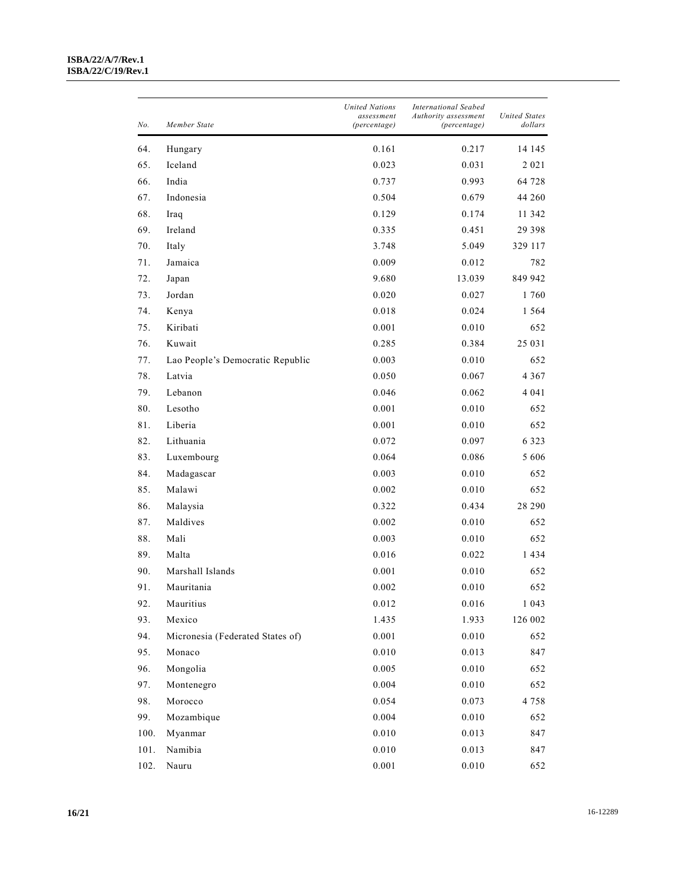#### **ISBA/22/A/7/Rev.1 ISBA/22/C/19/Rev.1**

| No.    | Member State                     | <b>United Nations</b><br>assessment<br>(percentage) | <b>International Seabed</b><br>Authority assessment<br>(percentage) | United States<br>dollars |
|--------|----------------------------------|-----------------------------------------------------|---------------------------------------------------------------------|--------------------------|
| 64.    | Hungary                          | 0.161                                               | 0.217                                                               | 14 145                   |
| 65.    | Iceland                          | 0.023                                               | 0.031                                                               | 2 0 2 1                  |
| 66.    | India                            | 0.737                                               | 0.993                                                               | 64 728                   |
| 67.    | Indonesia                        | 0.504                                               | 0.679                                                               | 44 260                   |
| 68.    | Iraq                             | 0.129                                               | 0.174                                                               | 11 342                   |
| 69.    | Ireland                          | 0.335                                               | 0.451                                                               | 29 3 9 8                 |
| 70.    | Italy                            | 3.748                                               | 5.049                                                               | 329 117                  |
| 71.    | Jamaica                          | 0.009                                               | 0.012                                                               | 782                      |
| 72.    | Japan                            | 9.680                                               | 13.039                                                              | 849 942                  |
| 73.    | Jordan                           | 0.020                                               | 0.027                                                               | 1760                     |
| 74.    | Kenya                            | 0.018                                               | 0.024                                                               | 1564                     |
| 75.    | Kiribati                         | 0.001                                               | 0.010                                                               | 652                      |
| 76.    | Kuwait                           | 0.285                                               | 0.384                                                               | 25 031                   |
| 77.    | Lao People's Democratic Republic | 0.003                                               | 0.010                                                               | 652                      |
| 78.    | Latvia                           | 0.050                                               | 0.067                                                               | 4 3 6 7                  |
| 79.    | Lebanon                          | 0.046                                               | 0.062                                                               | 4 0 4 1                  |
| 80.    | Lesotho                          | 0.001                                               | 0.010                                                               | 652                      |
| 81.    | Liberia                          | 0.001                                               | 0.010                                                               | 652                      |
| 82.    | Lithuania                        | 0.072                                               | 0.097                                                               | 6 3 2 3                  |
| 83.    | Luxembourg                       | 0.064                                               | 0.086                                                               | 5 606                    |
| 84.    | Madagascar                       | 0.003                                               | 0.010                                                               | 652                      |
| 85.    | Malawi                           | 0.002                                               | 0.010                                                               | 652                      |
| 86.    | Malaysia                         | 0.322                                               | 0.434                                                               | 28 290                   |
| 87.    | Maldives                         | 0.002                                               | 0.010                                                               | 652                      |
| 88.    | Mali                             | 0.003                                               | 0.010                                                               | 652                      |
| 89.    | Malta                            | 0.016                                               | 0.022                                                               | 1434                     |
| 90.    | Marshall Islands                 | 0.001                                               | 0.010                                                               | 652                      |
| 91.    | Mauritania                       | 0.002                                               | 0.010                                                               | 652                      |
| 92.    | Mauritius                        | 0.012                                               | 0.016                                                               | 1 0 4 3                  |
| 93.    | Mexico                           | 1.435                                               | 1.933                                                               | 126 002                  |
| 94.    | Micronesia (Federated States of) | 0.001                                               | 0.010                                                               | 652                      |
| 95.    | Monaco                           | 0.010                                               | 0.013                                                               | 847                      |
| 96.    | Mongolia                         | 0.005                                               | 0.010                                                               | 652                      |
| 97.    | Montenegro                       | 0.004                                               | 0.010                                                               | 652                      |
| 98.    | Morocco                          | 0.054                                               | 0.073                                                               | 4 7 5 8                  |
| 99.    | Mozambique                       | 0.004                                               | 0.010                                                               | 652                      |
| 100.   | Myanmar                          | 0.010                                               | 0.013                                                               | 847                      |
| $101.$ | Namibia                          | 0.010                                               | 0.013                                                               | 847                      |
| 102.   | Nauru                            | 0.001                                               | 0.010                                                               | 652                      |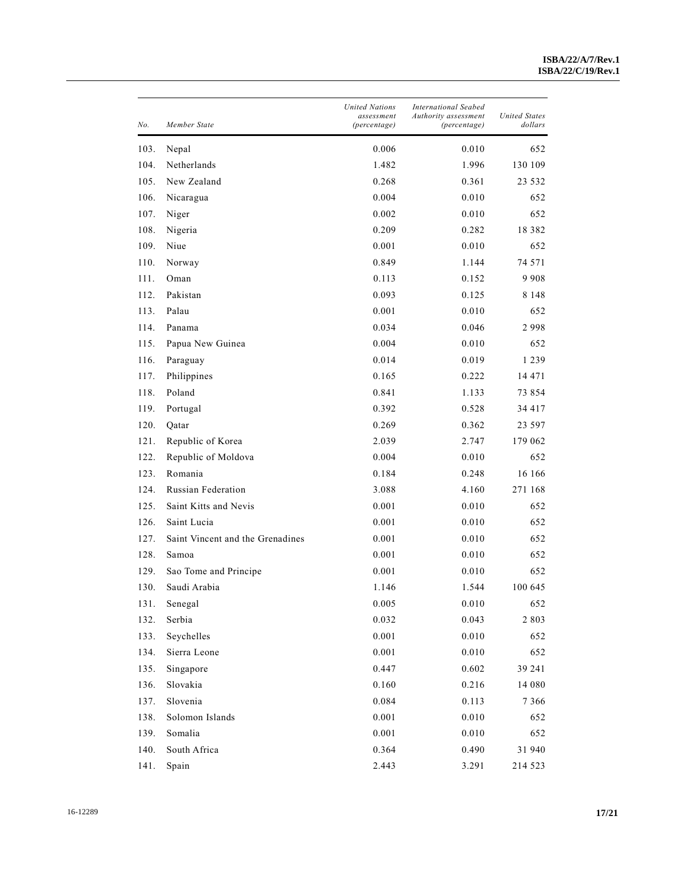| No.  | Member State                     | <b>United Nations</b><br>assessment<br>(percentage) | <b>International Seabed</b><br>Authority assessment<br>(percentage) | United States<br>dollars |
|------|----------------------------------|-----------------------------------------------------|---------------------------------------------------------------------|--------------------------|
| 103. | Nepal                            | 0.006                                               | 0.010                                                               | 652                      |
| 104. | Netherlands                      | 1.482                                               | 1.996                                                               | 130 109                  |
| 105. | New Zealand                      | 0.268                                               | 0.361                                                               | 23 532                   |
| 106. | Nicaragua                        | 0.004                                               | 0.010                                                               | 652                      |
| 107. | Niger                            | 0.002                                               | 0.010                                                               | 652                      |
| 108. | Nigeria                          | 0.209                                               | 0.282                                                               | 18 3 8 2                 |
| 109. | Niue                             | 0.001                                               | 0.010                                                               | 652                      |
| 110. | Norway                           | 0.849                                               | 1.144                                                               | 74 571                   |
| 111. | Oman                             | 0.113                                               | 0.152                                                               | 9908                     |
| 112. | Pakistan                         | 0.093                                               | 0.125                                                               | 8 1 4 8                  |
| 113. | Palau                            | 0.001                                               | 0.010                                                               | 652                      |
| 114. | Panama                           | 0.034                                               | 0.046                                                               | 2998                     |
| 115. | Papua New Guinea                 | 0.004                                               | 0.010                                                               | 652                      |
| 116. | Paraguay                         | 0.014                                               | 0.019                                                               | 1 2 3 9                  |
| 117. | Philippines                      | 0.165                                               | 0.222                                                               | 14 471                   |
| 118. | Poland                           | 0.841                                               | 1.133                                                               | 73 854                   |
| 119. | Portugal                         | 0.392                                               | 0.528                                                               | 34 417                   |
| 120. | Qatar                            | 0.269                                               | 0.362                                                               | 23 597                   |
| 121. | Republic of Korea                | 2.039                                               | 2.747                                                               | 179 062                  |
| 122. | Republic of Moldova              | 0.004                                               | 0.010                                                               | 652                      |
| 123. | Romania                          | 0.184                                               | 0.248                                                               | 16 16 6                  |
| 124. | Russian Federation               | 3.088                                               | 4.160                                                               | 271 168                  |
| 125. | Saint Kitts and Nevis            | 0.001                                               | 0.010                                                               | 652                      |
| 126. | Saint Lucia                      | 0.001                                               | 0.010                                                               | 652                      |
| 127. | Saint Vincent and the Grenadines | 0.001                                               | 0.010                                                               | 652                      |
| 128. | Samoa                            | 0.001                                               | 0.010                                                               | 652                      |
| 129. | Sao Tome and Principe            | 0.001                                               | 0.010                                                               | 652                      |
| 130. | Saudi Arabia                     | 1.146                                               | 1.544                                                               | 100 645                  |
| 131. | Senegal                          | 0.005                                               | 0.010                                                               | 652                      |
| 132. | Serbia                           | 0.032                                               | 0.043                                                               | 2 8 0 3                  |
| 133. | Seychelles                       | 0.001                                               | 0.010                                                               | 652                      |
| 134. | Sierra Leone                     | 0.001                                               | 0.010                                                               | 652                      |
| 135. | Singapore                        | 0.447                                               | 0.602                                                               | 39 24 1                  |
| 136. | Slovakia                         | 0.160                                               | 0.216                                                               | 14 080                   |
| 137. | Slovenia                         | 0.084                                               | 0.113                                                               | 7 3 6 6                  |
| 138. | Solomon Islands                  | 0.001                                               | 0.010                                                               | 652                      |
| 139. | Somalia                          | 0.001                                               | $0.010\,$                                                           | 652                      |
| 140. | South Africa                     | 0.364                                               | 0.490                                                               | 31 940                   |
| 141. | Spain                            | 2.443                                               | 3.291                                                               | 214 523                  |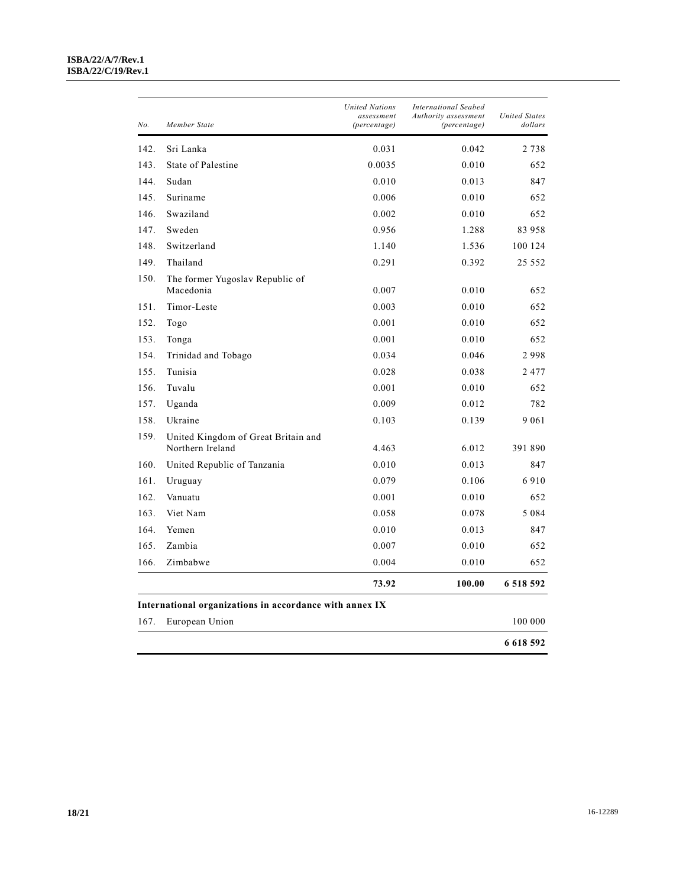#### **ISBA/22/A/7/Rev.1 ISBA/22/C/19/Rev.1**

| No.  | Member State                                            | <b>United Nations</b><br>assessment<br>(percentage) | <b>International Seabed</b><br>Authority assessment<br>(percentage) | <b>United States</b><br>dollars |
|------|---------------------------------------------------------|-----------------------------------------------------|---------------------------------------------------------------------|---------------------------------|
| 142. | Sri Lanka                                               | 0.031                                               | 0.042                                                               | 2 7 3 8                         |
| 143. | State of Palestine                                      | 0.0035                                              | 0.010                                                               | 652                             |
| 144. | Sudan                                                   | 0.010                                               | 0.013                                                               | 847                             |
| 145. | Suriname                                                | 0.006                                               | 0.010                                                               | 652                             |
| 146. | Swaziland                                               | 0.002                                               | 0.010                                                               | 652                             |
| 147. | Sweden                                                  | 0.956                                               | 1.288                                                               | 83 958                          |
| 148. | Switzerland                                             | 1.140                                               | 1.536                                                               | 100 124                         |
| 149. | Thailand                                                | 0.291                                               | 0.392                                                               | 25 552                          |
| 150. | The former Yugoslav Republic of                         |                                                     |                                                                     |                                 |
|      | Macedonia                                               | 0.007                                               | 0.010                                                               | 652                             |
| 151. | Timor-Leste                                             | 0.003                                               | 0.010                                                               | 652                             |
| 152. | Togo                                                    | 0.001                                               | 0.010                                                               | 652                             |
| 153. | Tonga                                                   | 0.001                                               | 0.010                                                               | 652                             |
| 154. | Trinidad and Tobago                                     | 0.034                                               | 0.046                                                               | 2998                            |
| 155. | Tunisia                                                 | 0.028                                               | 0.038                                                               | 2477                            |
| 156. | Tuvalu                                                  | 0.001                                               | 0.010                                                               | 652                             |
| 157. | Uganda                                                  | 0.009                                               | 0.012                                                               | 782                             |
| 158. | Ukraine                                                 | 0.103                                               | 0.139                                                               | 9 0 6 1                         |
| 159. | United Kingdom of Great Britain and<br>Northern Ireland | 4.463                                               | 6.012                                                               | 391 890                         |
| 160. | United Republic of Tanzania                             | 0.010                                               | 0.013                                                               | 847                             |
| 161. | Uruguay                                                 | 0.079                                               | 0.106                                                               | 6910                            |
| 162. | Vanuatu                                                 | 0.001                                               | 0.010                                                               | 652                             |
| 163. | Viet Nam                                                | 0.058                                               | 0.078                                                               | 5 0 8 4                         |
| 164. | Yemen                                                   | 0.010                                               | 0.013                                                               | 847                             |
| 165. | Zambia                                                  | 0.007                                               | 0.010                                                               | 652                             |
| 166. | Zimbabwe                                                | 0.004                                               | 0.010                                                               | 652                             |
|      |                                                         | 73.92                                               | 100.00                                                              | 6 518 592                       |
|      | International organizations in accordance with annex IX |                                                     |                                                                     |                                 |
| 167. | European Union                                          |                                                     |                                                                     | 100 000                         |
|      |                                                         |                                                     |                                                                     | 6 6 18 5 9 2                    |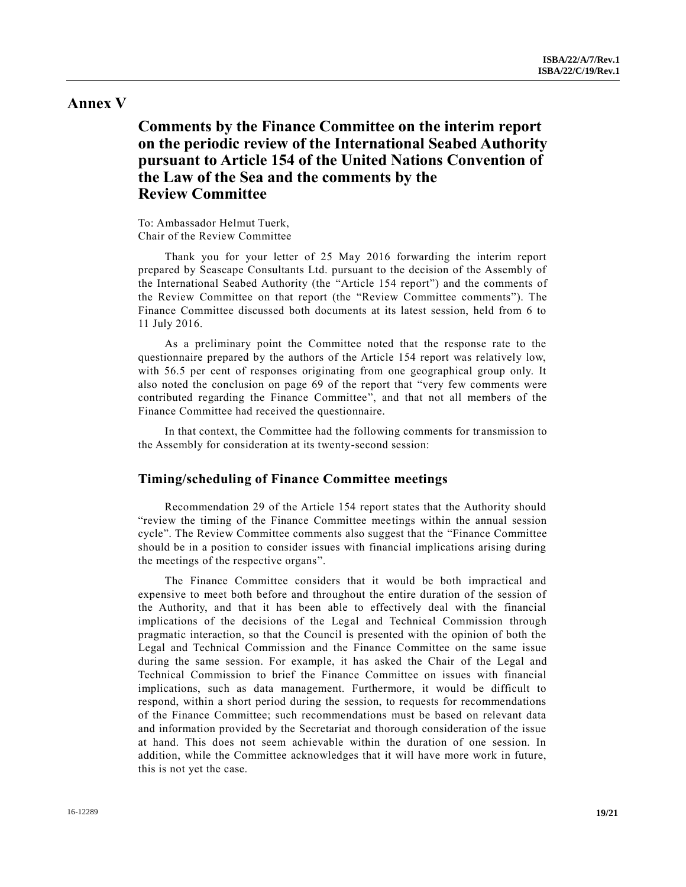#### **Annex V**

### **Comments by the Finance Committee on the interim report on the periodic review of the International Seabed Authority pursuant to Article 154 of the United Nations Convention of the Law of the Sea and the comments by the Review Committee**

To: Ambassador Helmut Tuerk, Chair of the Review Committee

Thank you for your letter of 25 May 2016 forwarding the interim report prepared by Seascape Consultants Ltd. pursuant to the decision of the Assembly of the International Seabed Authority (the "Article 154 report") and the comments of the Review Committee on that report (the "Review Committee comments"). The Finance Committee discussed both documents at its latest session, held from 6 to 11 July 2016.

As a preliminary point the Committee noted that the response rate to the questionnaire prepared by the authors of the Article 154 report was relatively low, with 56.5 per cent of responses originating from one geographical group only. It also noted the conclusion on page 69 of the report that "very few comments were contributed regarding the Finance Committee", and that not all members of the Finance Committee had received the questionnaire.

In that context, the Committee had the following comments for transmission to the Assembly for consideration at its twenty-second session:

#### **Timing/scheduling of Finance Committee meetings**

Recommendation 29 of the Article 154 report states that the Authority should "review the timing of the Finance Committee meetings within the annual session cycle". The Review Committee comments also suggest that the "Finance Committee should be in a position to consider issues with financial implications arising during the meetings of the respective organs".

The Finance Committee considers that it would be both impractical and expensive to meet both before and throughout the entire duration of the session of the Authority, and that it has been able to effectively deal with the financial implications of the decisions of the Legal and Technical Commission through pragmatic interaction, so that the Council is presented with the opinion of both the Legal and Technical Commission and the Finance Committee on the same issue during the same session. For example, it has asked the Chair of the Legal and Technical Commission to brief the Finance Committee on issues with financial implications, such as data management. Furthermore, it would be difficult to respond, within a short period during the session, to requests for recommendations of the Finance Committee; such recommendations must be based on relevant data and information provided by the Secretariat and thorough consideration of the issue at hand. This does not seem achievable within the duration of one session. In addition, while the Committee acknowledges that it will have more work in future, this is not yet the case.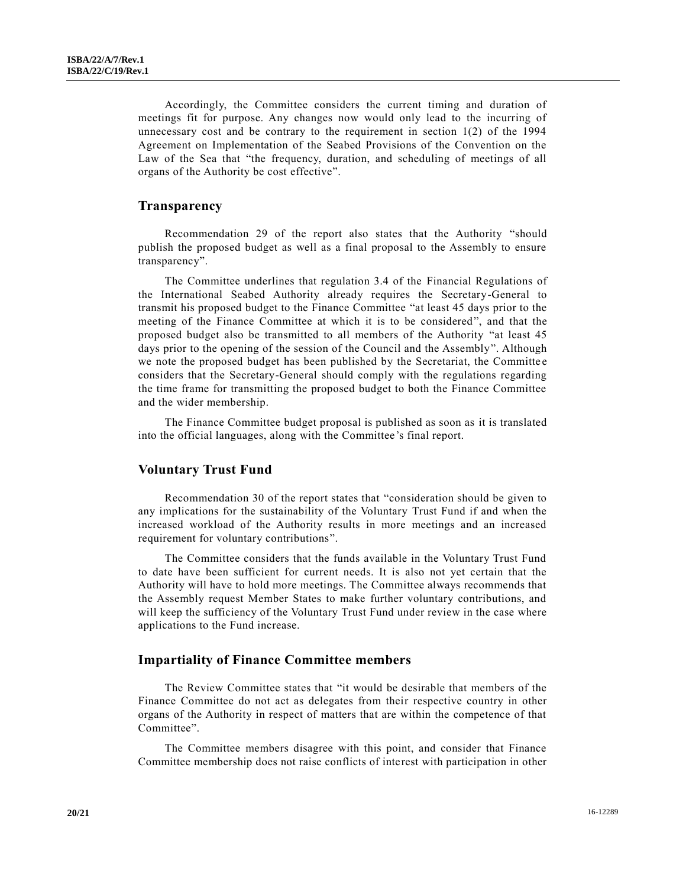Accordingly, the Committee considers the current timing and duration of meetings fit for purpose. Any changes now would only lead to the incurring of unnecessary cost and be contrary to the requirement in section  $1(2)$  of the 1994 Agreement on Implementation of the Seabed Provisions of the Convention on the Law of the Sea that "the frequency, duration, and scheduling of meetings of all organs of the Authority be cost effective".

#### **Transparency**

Recommendation 29 of the report also states that the Authority "should publish the proposed budget as well as a final proposal to the Assembly to ensure transparency".

The Committee underlines that regulation 3.4 of the Financial Regulations of the International Seabed Authority already requires the Secretary-General to transmit his proposed budget to the Finance Committee "at least 45 days prior to the meeting of the Finance Committee at which it is to be considered", and that the proposed budget also be transmitted to all members of the Authority "at least 45 days prior to the opening of the session of the Council and the Assembly". Although we note the proposed budget has been published by the Secretariat, the Committee considers that the Secretary-General should comply with the regulations regarding the time frame for transmitting the proposed budget to both the Finance Committee and the wider membership.

The Finance Committee budget proposal is published as soon as it is translated into the official languages, along with the Committee's final report.

#### **Voluntary Trust Fund**

Recommendation 30 of the report states that "consideration should be given to any implications for the sustainability of the Voluntary Trust Fund if and when the increased workload of the Authority results in more meetings and an increased requirement for voluntary contributions".

The Committee considers that the funds available in the Voluntary Trust Fund to date have been sufficient for current needs. It is also not yet certain that the Authority will have to hold more meetings. The Committee always recommends that the Assembly request Member States to make further voluntary contributions, and will keep the sufficiency of the Voluntary Trust Fund under review in the case where applications to the Fund increase.

#### **Impartiality of Finance Committee members**

The Review Committee states that "it would be desirable that members of the Finance Committee do not act as delegates from their respective country in other organs of the Authority in respect of matters that are within the competence of that Committee".

The Committee members disagree with this point, and consider that Finance Committee membership does not raise conflicts of interest with participation in other